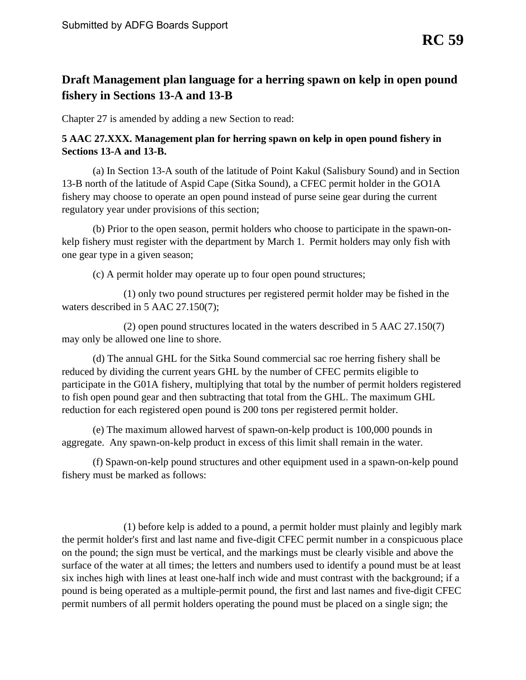## **Draft Management plan language for a herring spawn on kelp in open pound fishery in Sections 13-A and 13-B**

Chapter 27 is amended by adding a new Section to read:

## **5 AAC 27.XXX. Management plan for herring spawn on kelp in open pound fishery in Sections 13-A and 13-B.**

 (a) In Section 13-A south of the latitude of Point Kakul (Salisbury Sound) and in Section 13-B north of the latitude of Aspid Cape (Sitka Sound), a CFEC permit holder in the GO1A fishery may choose to operate an open pound instead of purse seine gear during the current regulatory year under provisions of this section;

(b) Prior to the open season, permit holders who choose to participate in the spawn-onkelp fishery must register with the department by March 1. Permit holders may only fish with one gear type in a given season;

(c) A permit holder may operate up to four open pound structures;

(1) only two pound structures per registered permit holder may be fished in the waters described in 5 AAC 27.150(7);

(2) open pound structures located in the waters described in 5 AAC 27.150(7) may only be allowed one line to shore.

(d) The annual GHL for the Sitka Sound commercial sac roe herring fishery shall be reduced by dividing the current years GHL by the number of CFEC permits eligible to participate in the G01A fishery, multiplying that total by the number of permit holders registered to fish open pound gear and then subtracting that total from the GHL. The maximum GHL reduction for each registered open pound is 200 tons per registered permit holder.

(e) The maximum allowed harvest of spawn-on-kelp product is 100,000 pounds in aggregate. Any spawn-on-kelp product in excess of this limit shall remain in the water.

fishery must be marked as follows: (f) Spawn-on-kelp pound structures and other equipment used in a spawn-on-kelp pound

 six inches high with lines at least one-half inch wide and must contrast with the background; if a  $f(1)$  before kelp is added to a pound, a permit holder must plainly and legibly mark the permit holder's first and last name and five-digit CFEC permit number in a conspicuous place on the pound; the sign must be vertical, and the markings must be clearly visible and above the surface of the water at all times; the letters and numbers used to identify a pound must be at least pound is being operated as a multiple-permit pound, the first and last names and five-digit CFEC permit numbers of all permit holders operating the pound must be placed on a single sign; the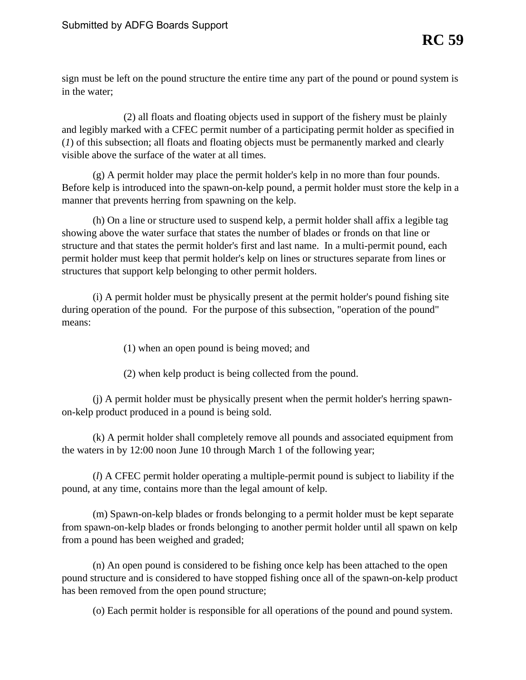sign must be left on the pound structure the entire time any part of the pound or pound system is in the water;

(2) all floats and floating objects used in support of the fishery must be plainly and legibly marked with a CFEC permit number of a participating permit holder as specified in (*1*) of this subsection; all floats and floating objects must be permanently marked and clearly visible above the surface of the water at all times.

(g) A permit holder may place the permit holder's kelp in no more than four pounds. Before kelp is introduced into the spawn-on-kelp pound, a permit holder must store the kelp in a manner that prevents herring from spawning on the kelp.

 structure and that states the permit holder's first and last name. In a multi-permit pound, each (h) On a line or structure used to suspend kelp, a permit holder shall affix a legible tag showing above the water surface that states the number of blades or fronds on that line or permit holder must keep that permit holder's kelp on lines or structures separate from lines or structures that support kelp belonging to other permit holders.

(i) A permit holder must be physically present at the permit holder's pound fishing site during operation of the pound. For the purpose of this subsection, "operation of the pound" means:

(1) when an open pound is being moved; and

(2) when kelp product is being collected from the pound.

(j) A permit holder must be physically present when the permit holder's herring spawnon-kelp product produced in a pound is being sold.

the waters in by 12:00 noon June 10 through March 1 of the following year; (k) A permit holder shall completely remove all pounds and associated equipment from

(*l*) A CFEC permit holder operating a multiple-permit pound is subject to liability if the pound, at any time, contains more than the legal amount of kelp.

from a pound has been weighed and graded; (m) Spawn-on-kelp blades or fronds belonging to a permit holder must be kept separate from spawn-on-kelp blades or fronds belonging to another permit holder until all spawn on kelp

has been removed from the open pound structure;  $(n)$  An open pound is considered to be fishing once kelp has been attached to the open pound structure and is considered to have stopped fishing once all of the spawn-on-kelp product

(o) Each permit holder is responsible for all operations of the pound and pound system.